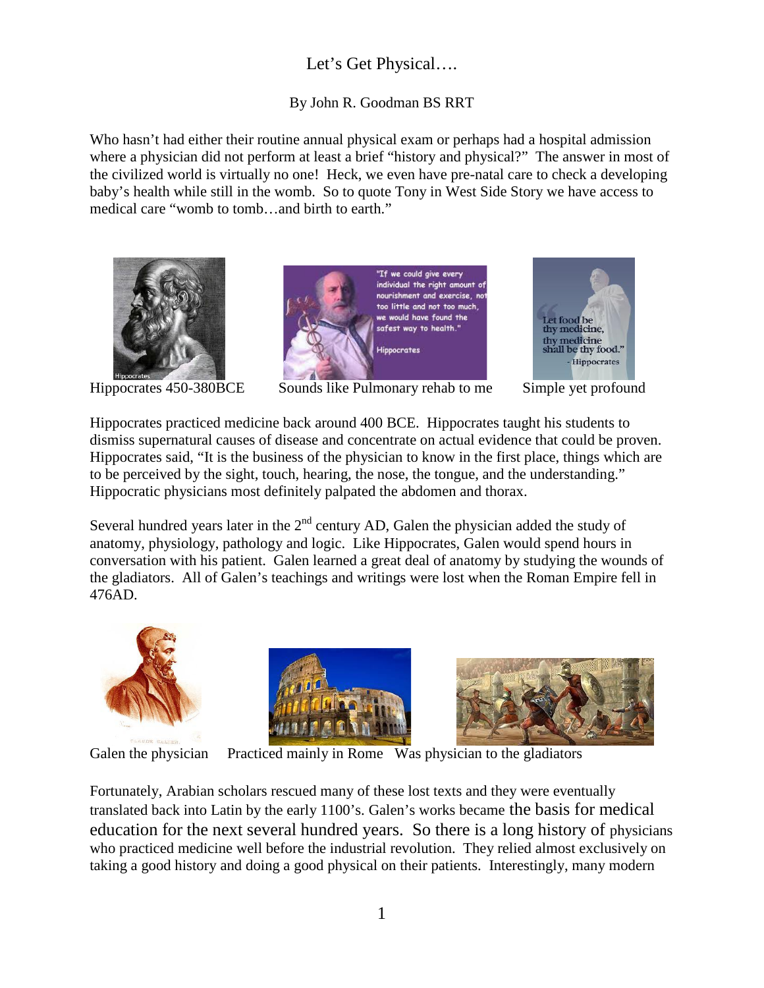## Let's Get Physical….

## By John R. Goodman BS RRT

Who hasn't had either their routine annual physical exam or perhaps had a hospital admission where a physician did not perform at least a brief "history and physical?" The answer in most of the civilized world is virtually no one! Heck, we even have pre-natal care to check a developing baby's health while still in the womb. So to quote Tony in West Side Story we have access to medical care "womb to tomb…and birth to earth."









Hippocrates practiced medicine back around 400 BCE. Hippocrates taught his students to dismiss supernatural causes of disease and concentrate on actual evidence that could be proven. Hippocrates said, "It is the business of the physician to know in the first place, things which are to be perceived by the sight, touch, hearing, the nose, the tongue, and the understanding." Hippocratic physicians most definitely palpated the abdomen and thorax.

Several hundred years later in the  $2<sup>nd</sup>$  century AD, Galen the physician added the study of anatomy, physiology, pathology and logic. Like Hippocrates, Galen would spend hours in conversation with his patient. Galen learned a great deal of anatomy by studying the wounds of the gladiators. All of Galen's teachings and writings were lost when the Roman Empire fell in 476AD.







Galen the physician Practiced mainly in Rome Was physician to the gladiators

Fortunately, Arabian scholars rescued many of these lost texts and they were eventually translated back into Latin by the early 1100's. Galen's works became the basis for medical education for the next several hundred years. So there is a long history of physicians who practiced medicine well before the industrial revolution. They relied almost exclusively on taking a good history and doing a good physical on their patients. Interestingly, many modern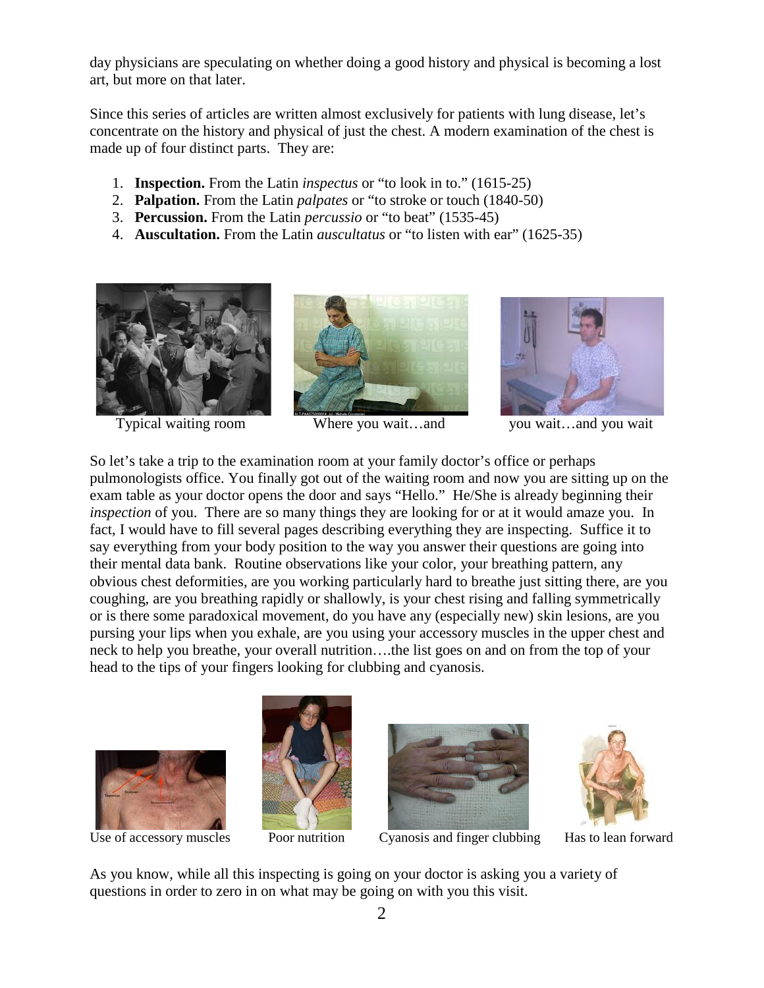day physicians are speculating on whether doing a good history and physical is becoming a lost art, but more on that later.

Since this series of articles are written almost exclusively for patients with lung disease, let's concentrate on the history and physical of just the chest. A modern examination of the chest is made up of four distinct parts. They are:

- 1. **Inspection.** From the Latin *inspectus* or "to look in to." (1615-25)
- 2. **Palpation.** From the Latin *palpates* or "to stroke or touch (1840-50)
- 3. **Percussion.** From the Latin *percussio* or "to beat" (1535-45)
- 4. **Auscultation.** From the Latin *auscultatus* or "to listen with ear" (1625-35)









So let's take a trip to the examination room at your family doctor's office or perhaps pulmonologists office. You finally got out of the waiting room and now you are sitting up on the exam table as your doctor opens the door and says "Hello." He/She is already beginning their *inspection* of you. There are so many things they are looking for or at it would amaze you. In fact, I would have to fill several pages describing everything they are inspecting. Suffice it to say everything from your body position to the way you answer their questions are going into their mental data bank. Routine observations like your color, your breathing pattern, any obvious chest deformities, are you working particularly hard to breathe just sitting there, are you coughing, are you breathing rapidly or shallowly, is your chest rising and falling symmetrically or is there some paradoxical movement, do you have any (especially new) skin lesions, are you pursing your lips when you exhale, are you using your accessory muscles in the upper chest and neck to help you breathe, your overall nutrition….the list goes on and on from the top of your head to the tips of your fingers looking for clubbing and cyanosis.









Use of accessory muscles Poor nutrition Cyanosis and finger clubbing Has to lean forward

As you know, while all this inspecting is going on your doctor is asking you a variety of questions in order to zero in on what may be going on with you this visit.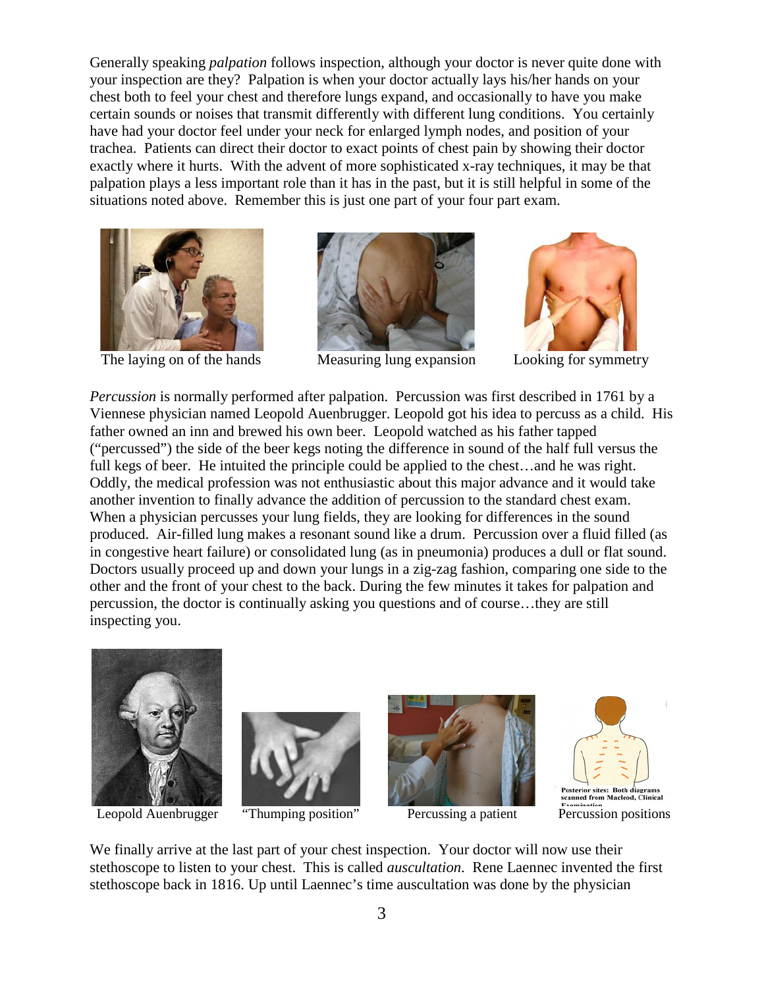Generally speaking *palpation* follows inspection, although your doctor is never quite done with your inspection are they? Palpation is when your doctor actually lays his/her hands on your chest both to feel your chest and therefore lungs expand, and occasionally to have you make certain sounds or noises that transmit differently with different lung conditions. You certainly have had your doctor feel under your neck for enlarged lymph nodes, and position of your trachea. Patients can direct their doctor to exact points of chest pain by showing their doctor exactly where it hurts. With the advent of more sophisticated x-ray techniques, it may be that palpation plays a less important role than it has in the past, but it is still helpful in some of the situations noted above. Remember this is just one part of your four part exam.





The laying on of the hands Measuring lung expansion Looking for symmetry



*Percussion* is normally performed after palpation. Percussion was first described in 1761 by a Viennese physician named Leopold Auenbrugger. Leopold got his idea to percuss as a child. His father owned an inn and brewed his own beer. Leopold watched as his father tapped ("percussed") the side of the beer kegs noting the difference in sound of the half full versus the full kegs of beer. He intuited the principle could be applied to the chest…and he was right. Oddly, the medical profession was not enthusiastic about this major advance and it would take another invention to finally advance the addition of percussion to the standard chest exam. When a physician percusses your lung fields, they are looking for differences in the sound produced. Air-filled lung makes a resonant sound like a drum. Percussion over a fluid filled (as in congestive heart failure) or consolidated lung (as in pneumonia) produces a dull or flat sound. Doctors usually proceed up and down your lungs in a zig-zag fashion, comparing one side to the other and the front of your chest to the back. During the few minutes it takes for palpation and percussion, the doctor is continually asking you questions and of course…they are still inspecting you.









We finally arrive at the last part of your chest inspection. Your doctor will now use their stethoscope to listen to your chest. This is called *auscultation*. Rene Laennec invented the first stethoscope back in 1816. Up until Laennec's time auscultation was done by the physician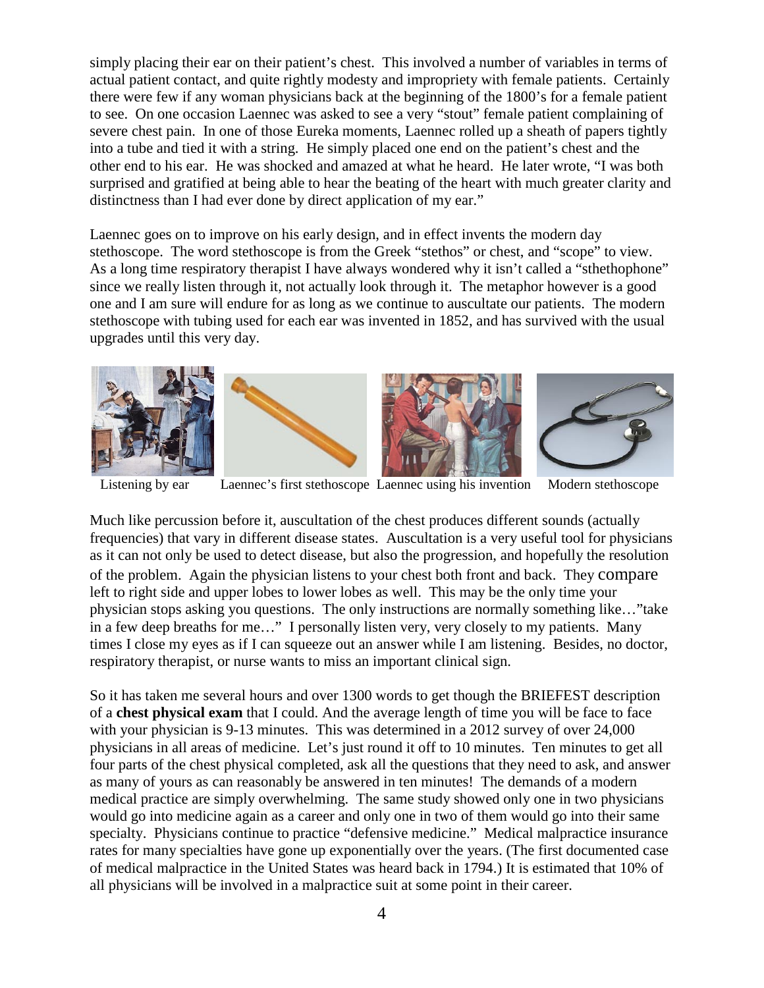simply placing their ear on their patient's chest. This involved a number of variables in terms of actual patient contact, and quite rightly modesty and impropriety with female patients. Certainly there were few if any woman physicians back at the beginning of the 1800's for a female patient to see. On one occasion Laennec was asked to see a very "stout" female patient complaining of severe chest pain. In one of those Eureka moments, Laennec rolled up a sheath of papers tightly into a tube and tied it with a string. He simply placed one end on the patient's chest and the other end to his ear. He was shocked and amazed at what he heard. He later wrote, "I was both surprised and gratified at being able to hear the beating of the heart with much greater clarity and distinctness than I had ever done by direct application of my ear."

Laennec goes on to improve on his early design, and in effect invents the modern day stethoscope. The word stethoscope is from the Greek "stethos" or chest, and "scope" to view. As a long time respiratory therapist I have always wondered why it isn't called a "sthethophone" since we really listen through it, not actually look through it. The metaphor however is a good one and I am sure will endure for as long as we continue to auscultate our patients. The modern stethoscope with tubing used for each ear was invented in 1852, and has survived with the usual upgrades until this very day.









Listening by ear Laennec's first stethoscope Laennec using his invention Modern stethoscope

Much like percussion before it, auscultation of the chest produces different sounds (actually frequencies) that vary in different disease states. Auscultation is a very useful tool for physicians as it can not only be used to detect disease, but also the progression, and hopefully the resolution of the problem. Again the physician listens to your chest both front and back. They compare left to right side and upper lobes to lower lobes as well. This may be the only time your physician stops asking you questions. The only instructions are normally something like…"take in a few deep breaths for me…" I personally listen very, very closely to my patients. Many times I close my eyes as if I can squeeze out an answer while I am listening. Besides, no doctor, respiratory therapist, or nurse wants to miss an important clinical sign.

So it has taken me several hours and over 1300 words to get though the BRIEFEST description of a **chest physical exam** that I could. And the average length of time you will be face to face with your physician is 9-13 minutes. This was determined in a 2012 survey of over 24,000 physicians in all areas of medicine. Let's just round it off to 10 minutes. Ten minutes to get all four parts of the chest physical completed, ask all the questions that they need to ask, and answer as many of yours as can reasonably be answered in ten minutes! The demands of a modern medical practice are simply overwhelming. The same study showed only one in two physicians would go into medicine again as a career and only one in two of them would go into their same specialty. Physicians continue to practice "defensive medicine." Medical malpractice insurance rates for many specialties have gone up exponentially over the years. (The first documented case of medical malpractice in the United States was heard back in 1794.) It is estimated that 10% of all physicians will be involved in a malpractice suit at some point in their career.